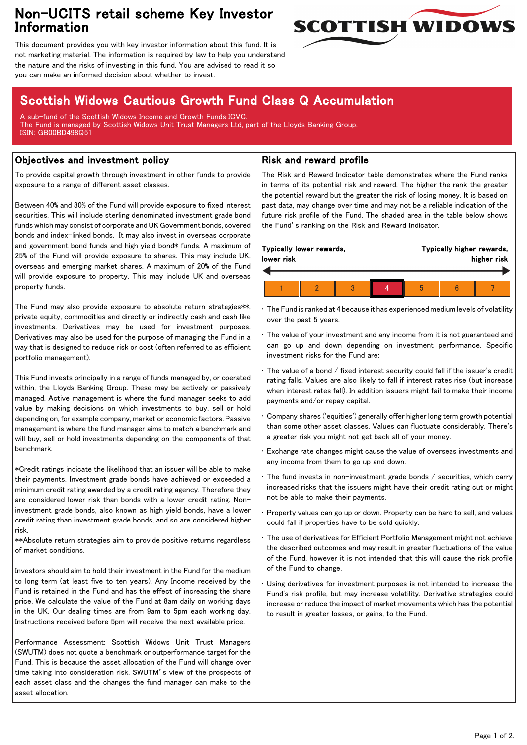## Non-UCITS retail scheme Key Investor Information



This document provides you with key investor information about this fund. It is not marketing material. The information is required by law to help you understand the nature and the risks of investing in this fund. You are advised to read it so you can make an informed decision about whether to invest.

# Scottish Widows Cautious Growth Fund Class Q Accumulation

A sub-fund of the Scottish Widows Income and Growth Funds ICVC. The Fund is managed by Scottish Widows Unit Trust Managers Ltd, part of the Lloyds Banking Group. ISIN: GB00BD498Q51

### Objectives and investment policy

To provide capital growth through investment in other funds to provide exposure to a range of different asset classes.

Between 40% and 80% of the Fund will provide exposure to fixed interest securities. This will include sterling denominated investment grade bond funds which may consist of corporate and UK Government bonds, covered bonds and index-linked bonds. It may also invest in overseas corporate and government bond funds and high yield bond\* funds. A maximum of 25% of the Fund will provide exposure to shares. This may include UK, overseas and emerging market shares. A maximum of 20% of the Fund will provide exposure to property. This may include UK and overseas property funds.

The Fund may also provide exposure to absolute return strategies\*\*, private equity, commodities and directly or indirectly cash and cash like investments. Derivatives may be used for investment purposes. Derivatives may also be used for the purpose of managing the Fund in a way that is designed to reduce risk or cost (often referred to as efficient portfolio management).

This Fund invests principally in a range of funds managed by, or operated within, the Lloyds Banking Group. These may be actively or passively managed. Active management is where the fund manager seeks to add value by making decisions on which investments to buy, sell or hold depending on, for example company, market or economic factors. Passive management is where the fund manager aims to match a benchmark and will buy, sell or hold investments depending on the components of that benchmark.

\*Credit ratings indicate the likelihood that an issuer will be able to make their payments. Investment grade bonds have achieved or exceeded a minimum credit rating awarded by a credit rating agency. Therefore they are considered lower risk than bonds with a lower credit rating. Noninvestment grade bonds, also known as high yield bonds, have a lower credit rating than investment grade bonds, and so are considered higher risk.

\*\*Absolute return strategies aim to provide positive returns regardless of market conditions.

Investors should aim to hold their investment in the Fund for the medium to long term (at least five to ten years). Any Income received by the Fund is retained in the Fund and has the effect of increasing the share price. We calculate the value of the Fund at 8am daily on working days in the UK. Our dealing times are from 9am to 5pm each working day. Instructions received before 5pm will receive the next available price.

Performance Assessment: Scottish Widows Unit Trust Managers (SWUTM) does not quote a benchmark or outperformance target for the Fund. This is because the asset allocation of the Fund will change over time taking into consideration risk, SWUTM's view of the prospects of each asset class and the changes the fund manager can make to the asset allocation.

### Risk and reward profile

The Risk and Reward Indicator table demonstrates where the Fund ranks in terms of its potential risk and reward. The higher the rank the greater the potential reward but the greater the risk of losing money. It is based on past data, may change over time and may not be a reliable indication of the future risk profile of the Fund. The shaded area in the table below shows the Fund's ranking on the Risk and Reward Indicator.

| Typically lower rewards,<br>lower risk |  |  |  |  | Typically higher rewards,<br>higher risk |  |  |  |
|----------------------------------------|--|--|--|--|------------------------------------------|--|--|--|
|                                        |  |  |  |  |                                          |  |  |  |
|                                        |  |  |  |  |                                          |  |  |  |

• The Fund is ranked at 4 because it has experienced medium levels of volatility over the past 5 years.

The value of your investment and any income from it is not guaranteed and can go up and down depending on investment performance. Specific investment risks for the Fund are:

• The value of a bond / fixed interest security could fall if the issuer's credit rating falls. Values are also likely to fall if interest rates rise (but increase when interest rates fall). In addition issuers might fail to make their income payments and/or repay capital.

• Company shares ('equities') generally offer higher long term growth potential than some other asset classes. Values can fluctuate considerably. There's a greater risk you might not get back all of your money.

• Exchange rate changes might cause the value of overseas investments and any income from them to go up and down.

The fund invests in non-investment grade bonds  $/$  securities, which carry increased risks that the issuers might have their credit rating cut or might not be able to make their payments.

• Property values can go up or down. Property can be hard to sell, and values could fall if properties have to be sold quickly.

• The use of derivatives for Efficient Portfolio Management might not achieve the described outcomes and may result in greater fluctuations of the value of the Fund, however it is not intended that this will cause the risk profile of the Fund to change.

Using derivatives for investment purposes is not intended to increase the Fund's risk profile, but may increase volatility. Derivative strategies could increase or reduce the impact of market movements which has the potential to result in greater losses, or gains, to the Fund.